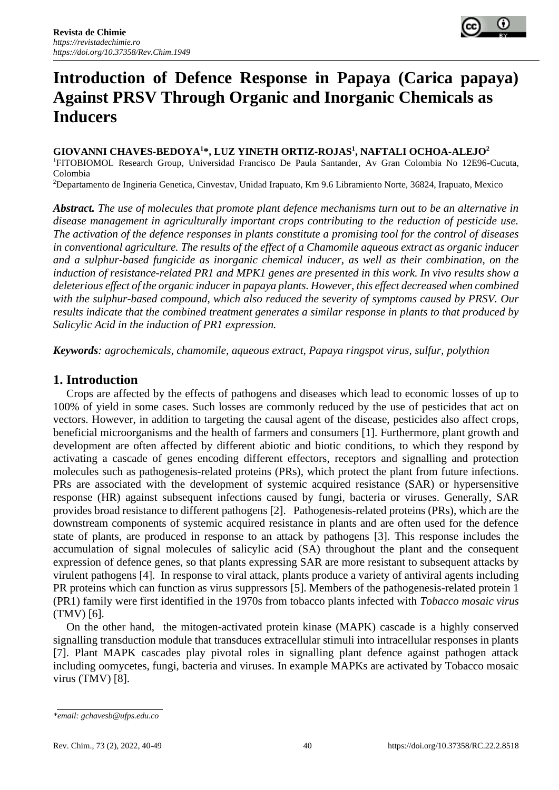

# **Introduction of Defence Response in Papaya (Carica papaya) Against PRSV Through Organic and Inorganic Chemicals as Inducers**

**GIOVANNI CHAVES-BEDOYA<sup>1</sup>\*, LUZ YINETH ORTIZ-ROJAS<sup>1</sup> , NAFTALI OCHOA-ALEJO<sup>2</sup>** <sup>1</sup>FITOBIOMOL Research Group, Universidad Francisco De Paula Santander, Av Gran Colombia No 12E96-Cucuta, Colombia

<sup>2</sup>Departamento de Ingineria Genetica, Cinvestav, Unidad Irapuato, Km 9.6 Libramiento Norte, 36824, Irapuato, Mexico

*Abstract. The use of molecules that promote plant defence mechanisms turn out to be an alternative in disease management in agriculturally important crops contributing to the reduction of pesticide use. The activation of the defence responses in plants constitute a promising tool for the control of diseases in conventional agriculture. The results of the effect of a Chamomile aqueous extract as organic inducer and a sulphur-based fungicide as inorganic chemical inducer, as well as their combination, on the induction of resistance-related PR1 and MPK1 genes are presented in this work. In vivo results show a deleterious effect of the organic inducer in papaya plants. However, this effect decreased when combined with the sulphur-based compound, which also reduced the severity of symptoms caused by PRSV. Our results indicate that the combined treatment generates a similar response in plants to that produced by Salicylic Acid in the induction of PR1 expression.* 

*Keywords: agrochemicals, chamomile, aqueous extract, Papaya ringspot virus, sulfur, polythion*

## **1. Introduction**

Crops are affected by the effects of pathogens and diseases which lead to economic losses of up to 100% of yield in some cases. Such losses are commonly reduced by the use of pesticides that act on vectors. However, in addition to targeting the causal agent of the disease, pesticides also affect crops, beneficial microorganisms and the health of farmers and consumers [1]. Furthermore, plant growth and development are often affected by different abiotic and biotic conditions, to which they respond by activating a cascade of genes encoding different effectors, receptors and signalling and protection molecules such as pathogenesis-related proteins (PRs), which protect the plant from future infections. PRs are associated with the development of systemic acquired resistance (SAR) or hypersensitive response (HR) against subsequent infections caused by fungi, bacteria or viruses. Generally, SAR provides broad resistance to different pathogens [2]. Pathogenesis-related proteins (PRs), which are the downstream components of systemic acquired resistance in plants and are often used for the defence state of plants, are produced in response to an attack by pathogens [3]. This response includes the accumulation of signal molecules of salicylic acid (SA) throughout the plant and the consequent expression of defence genes, so that plants expressing SAR are more resistant to subsequent attacks by virulent pathogens [4]. In response to viral attack, plants produce a variety of antiviral agents including PR proteins which can function as virus suppressors [5]. Members of the pathogenesis-related protein 1 (PR1) family were first identified in the 1970s from tobacco plants infected with *Tobacco mosaic virus* (TMV) [6].

On the other hand, the mitogen-activated protein kinase (MAPK) cascade is a highly conserved signalling transduction module that transduces extracellular stimuli into intracellular responses in plants [7]. Plant MAPK cascades play pivotal roles in signalling plant defence against pathogen attack including oomycetes, fungi, bacteria and viruses. In example MAPKs are activated by Tobacco mosaic virus (TMV) [8].

*<sup>\*</sup>email: gchavesb@ufps.edu.co*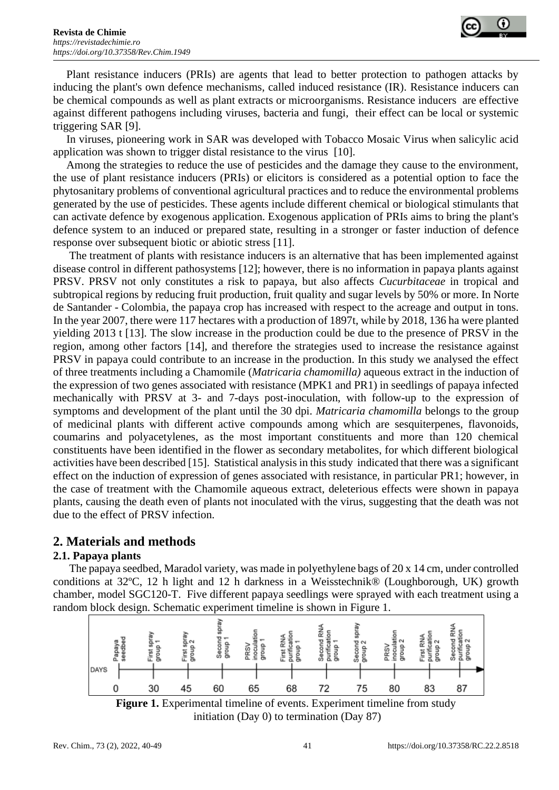

Plant resistance inducers (PRIs) are agents that lead to better protection to pathogen attacks by inducing the plant's own defence mechanisms, called induced resistance (IR). Resistance inducers can be chemical compounds as well as plant extracts or microorganisms. Resistance inducers are effective against different pathogens including viruses, bacteria and fungi, their effect can be local or systemic triggering SAR [9].

In viruses, pioneering work in SAR was developed with Tobacco Mosaic Virus when salicylic acid application was shown to trigger distal resistance to the virus [10].

Among the strategies to reduce the use of pesticides and the damage they cause to the environment, the use of plant resistance inducers (PRIs) or elicitors is considered as a potential option to face the phytosanitary problems of conventional agricultural practices and to reduce the environmental problems generated by the use of pesticides. These agents include different chemical or biological stimulants that can activate defence by exogenous application. Exogenous application of PRIs aims to bring the plant's defence system to an induced or prepared state, resulting in a stronger or faster induction of defence response over subsequent biotic or abiotic stress [11].

The treatment of plants with resistance inducers is an alternative that has been implemented against disease control in different pathosystems [12]; however, there is no information in papaya plants against PRSV. PRSV not only constitutes a risk to papaya, but also affects *Cucurbitaceae* in tropical and subtropical regions by reducing fruit production, fruit quality and sugar levels by 50% or more. In Norte de Santander - Colombia, the papaya crop has increased with respect to the acreage and output in tons. In the year 2007, there were 117 hectares with a production of 1897t, while by 2018, 136 ha were planted yielding 2013 t [13]. The slow increase in the production could be due to the presence of PRSV in the region, among other factors [14], and therefore the strategies used to increase the resistance against PRSV in papaya could contribute to an increase in the production. In this study we analysed the effect of three treatments including a Chamomile (*Matricaria chamomilla)* aqueous extract in the induction of the expression of two genes associated with resistance (MPK1 and PR1) in seedlings of papaya infected mechanically with PRSV at 3- and 7-days post-inoculation, with follow-up to the expression of symptoms and development of the plant until the 30 dpi. *Matricaria chamomilla* belongs to the group of medicinal plants with different active compounds among which are sesquiterpenes, flavonoids, coumarins and polyacetylenes, as the most important constituents and more than 120 chemical constituents have been identified in the flower as secondary metabolites, for which different biological activities have been described [15]. Statistical analysis in this study indicated that there was a significant effect on the induction of expression of genes associated with resistance, in particular PR1; however, in the case of treatment with the Chamomile aqueous extract, deleterious effects were shown in papaya plants, causing the death even of plants not inoculated with the virus, suggesting that the death was not due to the effect of PRSV infection.

# **2. Materials and methods**

## **2.1. Papaya plants**

The papaya seedbed, Maradol variety, was made in polyethylene bags of 20 x 14 cm, under controlled conditions at 32ºC, 12 h light and 12 h darkness in a Weisstechnik® (Loughborough, UK) growth chamber, model SGC120-T. Five different papaya seedlings were sprayed with each treatment using a random block design. Schematic experiment timeline is shown in Figure 1.



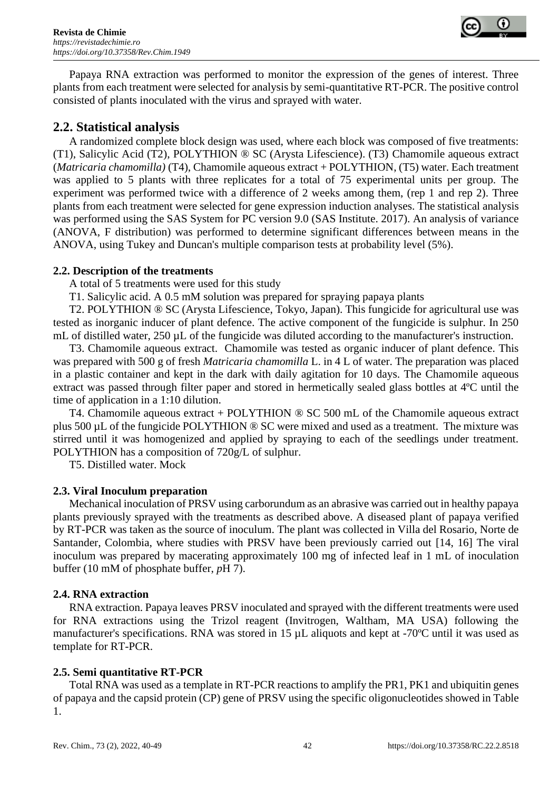

Papaya RNA extraction was performed to monitor the expression of the genes of interest. Three plants from each treatment were selected for analysis by semi-quantitative RT-PCR. The positive control consisted of plants inoculated with the virus and sprayed with water.

# **2.2. Statistical analysis**

A randomized complete block design was used, where each block was composed of five treatments: (T1), Salicylic Acid (T2), POLYTHION ® SC (Arysta Lifescience). (T3) Chamomile aqueous extract (*Matricaria chamomilla)* (T4), Chamomile aqueous extract + POLYTHION, (T5) water. Each treatment was applied to 5 plants with three replicates for a total of 75 experimental units per group. The experiment was performed twice with a difference of 2 weeks among them, (rep 1 and rep 2). Three plants from each treatment were selected for gene expression induction analyses. The statistical analysis was performed using the SAS System for PC version 9.0 (SAS Institute. 2017). An analysis of variance (ANOVA, F distribution) was performed to determine significant differences between means in the ANOVA, using Tukey and Duncan's multiple comparison tests at probability level (5%).

## **2.2. Description of the treatments**

A total of 5 treatments were used for this study

T1. Salicylic acid. A 0.5 mM solution was prepared for spraying papaya plants

T2. POLYTHION ® SC (Arysta Lifescience, Tokyo, Japan). This fungicide for agricultural use was tested as inorganic inducer of plant defence. The active component of the fungicide is sulphur. In 250 mL of distilled water, 250  $\mu$ L of the fungicide was diluted according to the manufacturer's instruction.

T3. Chamomile aqueous extract. Chamomile was tested as organic inducer of plant defence. This was prepared with 500 g of fresh *Matricaria chamomilla* L. in 4 L of water. The preparation was placed in a plastic container and kept in the dark with daily agitation for 10 days. The Chamomile aqueous extract was passed through filter paper and stored in hermetically sealed glass bottles at 4ºC until the time of application in a 1:10 dilution.

T4. Chamomile aqueous extract + POLYTHION ® SC 500 mL of the Chamomile aqueous extract plus 500 µL of the fungicide POLYTHION ® SC were mixed and used as a treatment. The mixture was stirred until it was homogenized and applied by spraying to each of the seedlings under treatment. POLYTHION has a composition of 720g/L of sulphur.

T5. Distilled water. Mock

# **2.3. Viral Inoculum preparation**

Mechanical inoculation of PRSV using carborundum as an abrasive was carried out in healthy papaya plants previously sprayed with the treatments as described above. A diseased plant of papaya verified by RT-PCR was taken as the source of inoculum. The plant was collected in Villa del Rosario, Norte de Santander, Colombia, where studies with PRSV have been previously carried out [14, 16] The viral inoculum was prepared by macerating approximately 100 mg of infected leaf in 1 mL of inoculation buffer (10 mM of phosphate buffer, *p*H 7).

## **2.4. RNA extraction**

RNA extraction. Papaya leaves PRSV inoculated and sprayed with the different treatments were used for RNA extractions using the Trizol reagent (Invitrogen, Waltham, MA USA) following the manufacturer's specifications. RNA was stored in 15 µL aliquots and kept at -70ºC until it was used as template for RT-PCR.

# **2.5. Semi quantitative RT-PCR**

Total RNA was used as a template in RT-PCR reactions to amplify the PR1, PK1 and ubiquitin genes of papaya and the capsid protein (CP) gene of PRSV using the specific oligonucleotides showed in Table 1.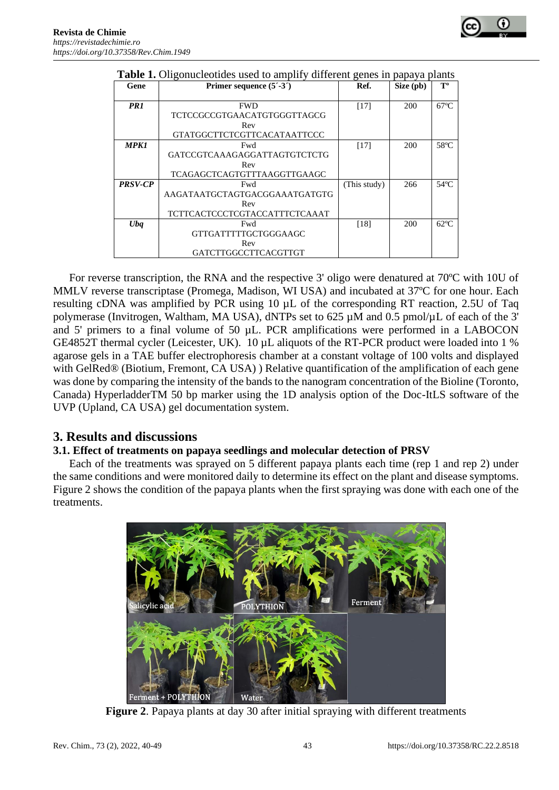

| Gene           | Primer sequence $(5^{\prime} - 3^{\prime})$ | Ref.         | Size (pb) | $T^{\mathrm{o}}$ |
|----------------|---------------------------------------------|--------------|-----------|------------------|
|                |                                             |              |           |                  |
| PR1            | <b>FWD</b>                                  | $[17]$       | 200       | $67^{\circ}$ C   |
|                | TCTCCGCCGTGAACATGTGGGTTAGCG                 |              |           |                  |
|                | Rev                                         |              |           |                  |
|                | GTATGGCTTCTCGTTCACATAATTCCC                 |              |           |                  |
| <b>MPK1</b>    | Fwd                                         | $[17]$       | 200       | $58^{\circ}$ C   |
|                | GATCCGTCAAAGAGGATTAGTGTCTCTG                |              |           |                  |
|                | Rev                                         |              |           |                  |
|                | TCAGAGCTCAGTGTTTAAGGTTGAAGC                 |              |           |                  |
| <b>PRSV-CP</b> | Fwd                                         | (This study) | 266       | $54^{\circ}$ C   |
|                | AAGATAATGCTAGTGACGGAAATGATGTG               |              |           |                  |
|                | Rev                                         |              |           |                  |
|                | TCTTCACTCCCTCGTACCATTTCTCAAAT               |              |           |                  |
| Uba            | Fwd                                         | [18]         | 200       | $62^{\circ}$ C   |
|                | GTTGATTTTTGCTGGGAAGC                        |              |           |                  |
|                | Rev                                         |              |           |                  |
|                | GATCTTGGCCTTCACGTTGT                        |              |           |                  |

#### **Table 1.** Oligonucleotides used to amplify different genes in papaya plants

For reverse transcription, the RNA and the respective 3' oligo were denatured at 70ºC with 10U of MMLV reverse transcriptase (Promega, Madison, WI USA) and incubated at 37ºC for one hour. Each resulting cDNA was amplified by PCR using 10 µL of the corresponding RT reaction, 2.5U of Taq polymerase (Invitrogen, Waltham, MA USA), dNTPs set to 625 µM and 0.5 pmol/µL of each of the 3' and 5' primers to a final volume of 50 µL. PCR amplifications were performed in a LABOCON GE4852T thermal cycler (Leicester, UK). 10 µL aliquots of the RT-PCR product were loaded into 1 % agarose gels in a TAE buffer electrophoresis chamber at a constant voltage of 100 volts and displayed with GelRed® (Biotium, Fremont, CA USA)) Relative quantification of the amplification of each gene was done by comparing the intensity of the bands to the nanogram concentration of the Bioline (Toronto, Canada) HyperladderTM 50 bp marker using the 1D analysis option of the Doc-ItLS software of the UVP (Upland, CA USA) gel documentation system.

# **3. Results and discussions**

# **3.1. Effect of treatments on papaya seedlings and molecular detection of PRSV**

Each of the treatments was sprayed on 5 different papaya plants each time (rep 1 and rep 2) under the same conditions and were monitored daily to determine its effect on the plant and disease symptoms. Figure 2 shows the condition of the papaya plants when the first spraying was done with each one of the treatments.



**Figure 2**. Papaya plants at day 30 after initial spraying with different treatments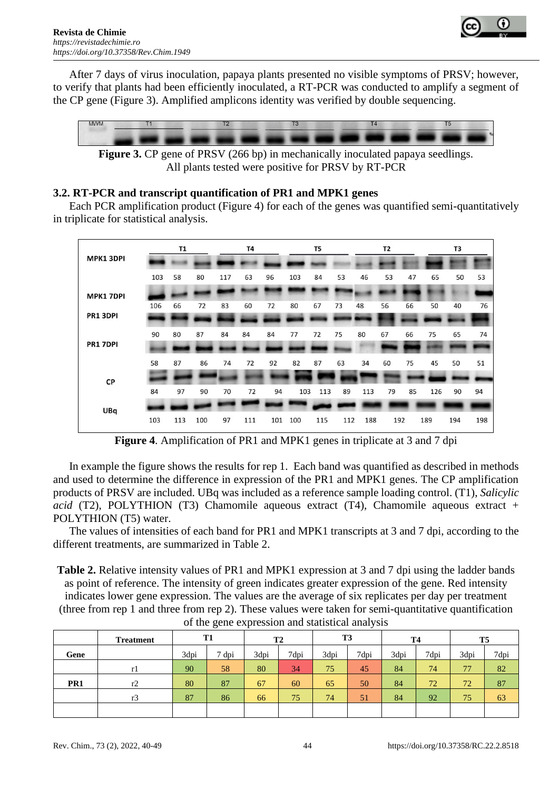

After 7 days of virus inoculation, papaya plants presented no visible symptoms of PRSV; however, to verify that plants had been efficiently inoculated, a RT-PCR was conducted to amplify a segment of the CP gene (Figure 3). Amplified amplicons identity was verified by double sequencing.



**Figure 3.** CP gene of PRSV (266 bp) in mechanically inoculated papaya seedlings. All plants tested were positive for PRSV by RT-PCR

## **3.2. RT-PCR and transcript quantification of PR1 and MPK1 genes**

Each PCR amplification product (Figure 4) for each of the genes was quantified semi-quantitatively in triplicate for statistical analysis.

|                  |     | T1  |     |     | T4  |     |     | T5  |     |     | <b>T2</b> |     |     | T3  |     |
|------------------|-----|-----|-----|-----|-----|-----|-----|-----|-----|-----|-----------|-----|-----|-----|-----|
| <b>MPK1 3DPI</b> |     |     |     |     |     |     |     |     |     |     |           |     |     |     |     |
|                  | 103 | 58  | 80  | 117 | 63  | 96  | 103 | 84  | 53  | 46  | 53        | 47  | 65  | 50  | 53  |
| <b>MPK1 7DPI</b> |     |     |     |     |     |     |     |     |     |     |           |     |     |     |     |
|                  | 106 | 66  | 72  | 83  | 60  | 72  | 80  | 67  | 73  | 48  | 56        | 66  | 50  | 40  | 76  |
| PR1 3DPI         |     |     |     |     |     |     |     |     |     |     |           |     |     |     |     |
|                  | 90  | 80  | 87  | 84  | 84  | 84  | 77  | 72  | 75  | 80  | 67        | 66  | 75  | 65  | 74  |
| PR1 7DPI         |     |     |     |     |     |     |     |     |     |     |           |     |     |     |     |
|                  | 58  | 87  | 86  | 74  | 72  | 92  | 82  | 87  | 63  | 34  | 60        | 75  | 45  | 50  | 51  |
| CP               |     |     |     |     |     |     |     |     |     |     |           |     |     |     |     |
|                  | 84  | 97  | 90  | 70  | 72  | 94  | 103 | 113 | 89  | 113 | 79        | 85  | 126 | 90  | 94  |
| UBq              |     |     |     |     |     |     |     |     |     |     |           |     |     |     |     |
|                  | 103 | 113 | 100 | 97  | 111 | 101 | 100 | 115 | 112 | 188 |           | 192 | 189 | 194 | 198 |

**Figure 4**. Amplification of PR1 and MPK1 genes in triplicate at 3 and 7 dpi

In example the figure shows the results for rep 1. Each band was quantified as described in methods and used to determine the difference in expression of the PR1 and MPK1 genes. The CP amplification products of PRSV are included. UBq was included as a reference sample loading control. (T1), *Salicylic acid* (T2), POLYTHION (T3) Chamomile aqueous extract (T4), Chamomile aqueous extract + POLYTHION (T5) water.

The values of intensities of each band for PR1 and MPK1 transcripts at 3 and 7 dpi, according to the different treatments, are summarized in Table 2.

**Table 2.** Relative intensity values of PR1 and MPK1 expression at 3 and 7 dpi using the ladder bands as point of reference. The intensity of green indicates greater expression of the gene. Red intensity indicates lower gene expression. The values are the average of six replicates per day per treatment (three from rep 1 and three from rep 2). These values were taken for semi-quantitative quantification of the gene expression and statistical analysis

|      | <b>Treatment</b> | T1   |          | T <sub>2</sub> |      | T <sub>3</sub> |      | <b>T4</b> |      | T <sub>5</sub> |      |
|------|------------------|------|----------|----------------|------|----------------|------|-----------|------|----------------|------|
| Gene |                  | 3dpi | –<br>dpi | 3dpi           | 7dpi | 3dpi           | 7dpi | 3dpi      | 7dpi | 3dpi           | 7dpi |
|      | rI               | 90   | 58       | 80             | 34   | 75             | 45   | 84        | 74   | 77             | 82   |
| PR1  | r2               | 80   | 87       | 67             | 60   | 65             | 50   | 84        | 72   | 72             | 87   |
|      | r3               | 87   | 86       | 66             | 75   | 74             | 51   | 84        | 92   | 75             | 63   |
|      |                  |      |          |                |      |                |      |           |      |                |      |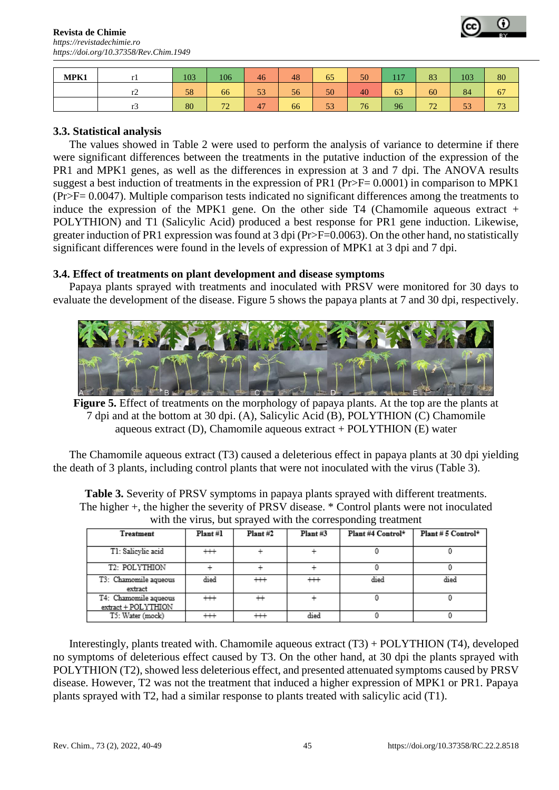

| MPK1 |                | 103 | 106                    | 46       | 48 | 65 | 50 | $\overline{1}$<br>. . | 83                    | 103 | 80                  |
|------|----------------|-----|------------------------|----------|----|----|----|-----------------------|-----------------------|-----|---------------------|
|      | $\overline{1}$ | 58  | 66                     | 50<br>Эź | 56 | 50 | 40 | 63                    | 60                    | 84  | 67                  |
|      | 1J             | 80  | $\mathbf{a}$<br>$\sim$ | 47       | 66 | 53 | 76 | 96                    | $\overline{a}$<br>1 L | 53  | $\mathbf{a}$<br>1 J |

## **3.3. Statistical analysis**

The values showed in Table 2 were used to perform the analysis of variance to determine if there were significant differences between the treatments in the putative induction of the expression of the PR1 and MPK1 genes, as well as the differences in expression at 3 and 7 dpi. The ANOVA results suggest a best induction of treatments in the expression of PR1 (Pr>F= 0.0001) in comparison to MPK1 (Pr>F= 0.0047). Multiple comparison tests indicated no significant differences among the treatments to induce the expression of the MPK1 gene. On the other side  $T4$  (Chamomile aqueous extract + POLYTHION) and T1 (Salicylic Acid) produced a best response for PR1 gene induction. Likewise, greater induction of PR1 expression was found at 3 dpi (Pr>F=0.0063). On the other hand, no statistically significant differences were found in the levels of expression of MPK1 at 3 dpi and 7 dpi.

## **3.4. Effect of treatments on plant development and disease symptoms**

Papaya plants sprayed with treatments and inoculated with PRSV were monitored for 30 days to evaluate the development of the disease. Figure 5 shows the papaya plants at 7 and 30 dpi, respectively.



**Figure 5.** Effect of treatments on the morphology of papaya plants. At the top are the plants at 7 dpi and at the bottom at 30 dpi. (A), Salicylic Acid (B), POLYTHION (C) Chamomile aqueous extract (D), Chamomile aqueous extract + POLYTHION (E) water

The Chamomile aqueous extract (T3) caused a deleterious effect in papaya plants at 30 dpi yielding the death of 3 plants, including control plants that were not inoculated with the virus (Table 3).

**Table 3.** Severity of PRSV symptoms in papaya plants sprayed with different treatments. The higher +, the higher the severity of PRSV disease. \* Control plants were not inoculated with the virus, but sprayed with the corresponding treatment

| Treatment                                    | $Plant$ #1 | $Plant$ #2 | $Plant$ #3 | Plant #4 Control* | Plant # 5 Control* |
|----------------------------------------------|------------|------------|------------|-------------------|--------------------|
| T1: Salievlie acid                           | $^{+++}$   |            |            |                   |                    |
| T2: POLYTHION                                |            |            |            |                   |                    |
| T3: Chamomile aqueous<br>extract             | died       | $^{++}$    | $^{++}$    | died              | died               |
| T4: Chamomile aqueous<br>extract + POLYTHION | $^{+++}$   | $^{+}$     |            |                   |                    |
| T5: Water (mock)                             | $^{++}$    | $^{++}$    | died       |                   |                    |

Interestingly, plants treated with. Chamomile aqueous extract (T3) + POLYTHION (T4), developed no symptoms of deleterious effect caused by T3. On the other hand, at 30 dpi the plants sprayed with POLYTHION (T2), showed less deleterious effect, and presented attenuated symptoms caused by PRSV disease. However, T2 was not the treatment that induced a higher expression of MPK1 or PR1. Papaya plants sprayed with T2, had a similar response to plants treated with salicylic acid (T1).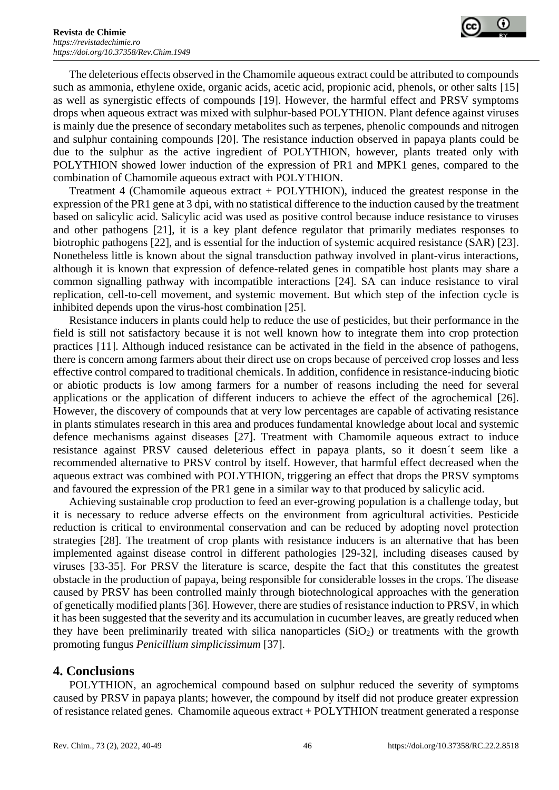

The deleterious effects observed in the Chamomile aqueous extract could be attributed to compounds such as ammonia, ethylene oxide, organic acids, acetic acid, propionic acid, phenols, or other salts [15] as well as synergistic effects of compounds [19]. However, the harmful effect and PRSV symptoms drops when aqueous extract was mixed with sulphur-based POLYTHION. Plant defence against viruses is mainly due the presence of secondary metabolites such as terpenes, phenolic compounds and nitrogen and sulphur containing compounds [20]. The resistance induction observed in papaya plants could be due to the sulphur as the active ingredient of POLYTHION, however, plants treated only with POLYTHION showed lower induction of the expression of PR1 and MPK1 genes, compared to the combination of Chamomile aqueous extract with POLYTHION.

Treatment 4 (Chamomile aqueous extract + POLYTHION), induced the greatest response in the expression of the PR1 gene at 3 dpi, with no statistical difference to the induction caused by the treatment based on salicylic acid. Salicylic acid was used as positive control because induce resistance to viruses and other pathogens [21], it is a key plant defence regulator that primarily mediates responses to biotrophic pathogens [22], and is essential for the induction of systemic acquired resistance (SAR) [23]. Nonetheless little is known about the signal transduction pathway involved in plant-virus interactions, although it is known that expression of defence-related genes in compatible host plants may share a common signalling pathway with incompatible interactions [24]. SA can induce resistance to viral replication, cell-to-cell movement, and systemic movement. But which step of the infection cycle is inhibited depends upon the virus-host combination [25].

Resistance inducers in plants could help to reduce the use of pesticides, but their performance in the field is still not satisfactory because it is not well known how to integrate them into crop protection practices [11]. Although induced resistance can be activated in the field in the absence of pathogens, there is concern among farmers about their direct use on crops because of perceived crop losses and less effective control compared to traditional chemicals. In addition, confidence in resistance-inducing biotic or abiotic products is low among farmers for a number of reasons including the need for several applications or the application of different inducers to achieve the effect of the agrochemical [26]. However, the discovery of compounds that at very low percentages are capable of activating resistance in plants stimulates research in this area and produces fundamental knowledge about local and systemic defence mechanisms against diseases [27]. Treatment with Chamomile aqueous extract to induce resistance against PRSV caused deleterious effect in papaya plants, so it doesn´t seem like a recommended alternative to PRSV control by itself. However, that harmful effect decreased when the aqueous extract was combined with POLYTHION, triggering an effect that drops the PRSV symptoms and favoured the expression of the PR1 gene in a similar way to that produced by salicylic acid.

Achieving sustainable crop production to feed an ever-growing population is a challenge today, but it is necessary to reduce adverse effects on the environment from agricultural activities. Pesticide reduction is critical to environmental conservation and can be reduced by adopting novel protection strategies [28]. The treatment of crop plants with resistance inducers is an alternative that has been implemented against disease control in different pathologies [29-32], including diseases caused by viruses [33-35]. For PRSV the literature is scarce, despite the fact that this constitutes the greatest obstacle in the production of papaya, being responsible for considerable losses in the crops. The disease caused by PRSV has been controlled mainly through biotechnological approaches with the generation of genetically modified plants [36]. However, there are studies of resistance induction to PRSV, in which it has been suggested that the severity and its accumulation in cucumber leaves, are greatly reduced when they have been preliminarily treated with silica nanoparticles  $(SiO<sub>2</sub>)$  or treatments with the growth promoting fungus *Penicillium simplicissimum* [37].

# **4. Conclusions**

POLYTHION, an agrochemical compound based on sulphur reduced the severity of symptoms caused by PRSV in papaya plants; however, the compound by itself did not produce greater expression of resistance related genes. Chamomile aqueous extract + POLYTHION treatment generated a response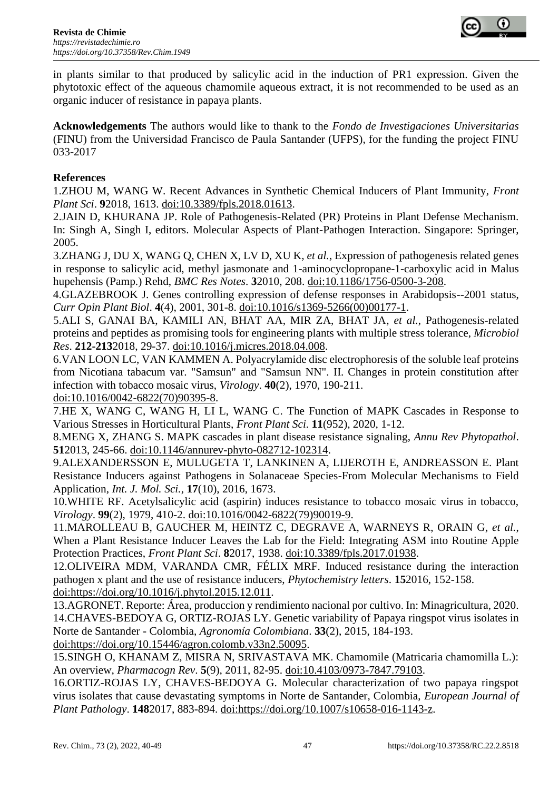

in plants similar to that produced by salicylic acid in the induction of PR1 expression. Given the phytotoxic effect of the aqueous chamomile aqueous extract, it is not recommended to be used as an organic inducer of resistance in papaya plants.

**Acknowledgements** The authors would like to thank to the *Fondo de Investigaciones Universitarias* (FINU) from the Universidad Francisco de Paula Santander (UFPS), for the funding the project FINU 033-2017

## **References**

1.ZHOU M, WANG W. Recent Advances in Synthetic Chemical Inducers of Plant Immunity, *Front Plant Sci*. **9**2018, 1613. doi:10.3389/fpls.2018.01613.

2.JAIN D, KHURANA JP. Role of Pathogenesis-Related (PR) Proteins in Plant Defense Mechanism. In: Singh A, Singh I, editors. Molecular Aspects of Plant-Pathogen Interaction. Singapore: Springer, 2005.

3.ZHANG J, DU X, WANG Q, CHEN X, LV D, XU K*, et al.*, Expression of pathogenesis related genes in response to salicylic acid, methyl jasmonate and 1-aminocyclopropane-1-carboxylic acid in Malus hupehensis (Pamp.) Rehd, *BMC Res Notes*. **3**2010, 208. doi:10.1186/1756-0500-3-208.

4.GLAZEBROOK J. Genes controlling expression of defense responses in Arabidopsis--2001 status, *Curr Opin Plant Biol*. **4**(4), 2001, 301-8. doi:10.1016/s1369-5266(00)00177-1.

5.ALI S, GANAI BA, KAMILI AN, BHAT AA, MIR ZA, BHAT JA*, et al.*, Pathogenesis-related proteins and peptides as promising tools for engineering plants with multiple stress tolerance, *Microbiol Res*. **212-213**2018, 29-37. doi:10.1016/j.micres.2018.04.008.

6.VAN LOON LC, VAN KAMMEN A. Polyacrylamide disc electrophoresis of the soluble leaf proteins from Nicotiana tabacum var. "Samsun" and "Samsun NN". II. Changes in protein constitution after infection with tobacco mosaic virus, *Virology*. **40**(2), 1970, 190-211.

doi:10.1016/0042-6822(70)90395-8.

7.HE X, WANG C, WANG H, LI L, WANG C. The Function of MAPK Cascades in Response to Various Stresses in Horticultural Plants, *Front Plant Sci*. **11**(952), 2020, 1-12.

8.MENG X, ZHANG S. MAPK cascades in plant disease resistance signaling, *Annu Rev Phytopathol*. **51**2013, 245-66. doi:10.1146/annurev-phyto-082712-102314.

9.ALEXANDERSSON E, MULUGETA T, LANKINEN A, LIJEROTH E, ANDREASSON E. Plant Resistance Inducers against Pathogens in Solanaceae Species-From Molecular Mechanisms to Field Application, *Int. J. Mol. Sci.*, **17**(10), 2016, 1673.

10.WHITE RF. Acetylsalicylic acid (aspirin) induces resistance to tobacco mosaic virus in tobacco, *Virology*. **99**(2), 1979, 410-2. doi:10.1016/0042-6822(79)90019-9.

11.MAROLLEAU B, GAUCHER M, HEINTZ C, DEGRAVE A, WARNEYS R, ORAIN G*, et al.*, When a Plant Resistance Inducer Leaves the Lab for the Field: Integrating ASM into Routine Apple Protection Practices, *Front Plant Sci*. **8**2017, 1938. doi:10.3389/fpls.2017.01938.

12.OLIVEIRA MDM, VARANDA CMR, FÉLIX MRF. Induced resistance during the interaction pathogen x plant and the use of resistance inducers, *Phytochemistry letters*. **15**2016, 152-158. doi:https://doi.org/10.1016/j.phytol.2015.12.011.

13.AGRONET. Reporte: Área, produccion y rendimiento nacional por cultivo. In: Minagricultura, 2020. 14.CHAVES-BEDOYA G, ORTIZ-ROJAS LY. Genetic variability of Papaya ringspot virus isolates in Norte de Santander - Colombia, *Agronomía Colombiana*. **33**(2), 2015, 184-193.

doi:https://doi.org/10.15446/agron.colomb.v33n2.50095.

15.SINGH O, KHANAM Z, MISRA N, SRIVASTAVA MK. Chamomile (Matricaria chamomilla L.): An overview, *Pharmacogn Rev*. **5**(9), 2011, 82-95. doi:10.4103/0973-7847.79103.

16.ORTIZ-ROJAS LY, CHAVES-BEDOYA G. Molecular characterization of two papaya ringspot virus isolates that cause devastating symptoms in Norte de Santander, Colombia, *European Journal of Plant Pathology*. **148**2017, 883-894. doi:https://doi.org/10.1007/s10658-016-1143-z.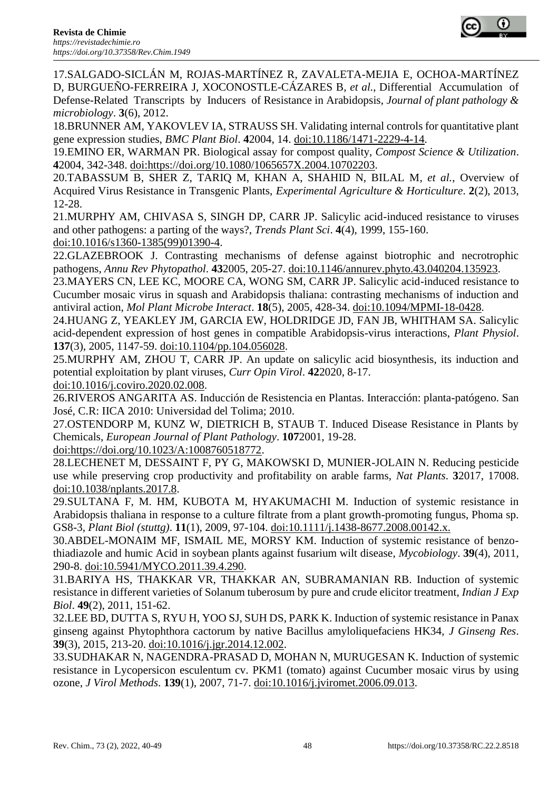

17.SALGADO-SICLÁN M, ROJAS-MARTÍNEZ R, ZAVALETA-MEJIA E, OCHOA-MARTÍNEZ D, BURGUEÑO-FERREIRA J, XOCONOSTLE-CÁZARES B*, et al.*, Differential Accumulation of Defense-Related Transcripts by Inducers of Resistance in Arabidopsis, *Journal of plant pathology &* 

*microbiology*. **3**(6), 2012. 18.BRUNNER AM, YAKOVLEV IA, STRAUSS SH. Validating internal controls for quantitative plant gene expression studies, *BMC Plant Biol*. **4**2004, 14. doi:10.1186/1471-2229-4-14.

19.EMINO ER, WARMAN PR. Biological assay for compost quality, *Compost Science & Utilization*. **4**2004, 342-348. doi:https://doi.org/10.1080/1065657X.2004.10702203.

20.TABASSUM B, SHER Z, TARIQ M, KHAN A, SHAHID N, BILAL M*, et al.*, Overview of Acquired Virus Resistance in Transgenic Plants, *Experimental Agriculture & Horticulture*. **2**(2), 2013, 12-28.

21.MURPHY AM, CHIVASA S, SINGH DP, CARR JP. Salicylic acid-induced resistance to viruses and other pathogens: a parting of the ways?, *Trends Plant Sci*. **4**(4), 1999, 155-160.

doi:10.1016/s1360-1385(99)01390-4.

22.GLAZEBROOK J. Contrasting mechanisms of defense against biotrophic and necrotrophic pathogens, *Annu Rev Phytopathol*. **43**2005, 205-27. doi:10.1146/annurev.phyto.43.040204.135923.

23.MAYERS CN, LEE KC, MOORE CA, WONG SM, CARR JP. Salicylic acid-induced resistance to Cucumber mosaic virus in squash and Arabidopsis thaliana: contrasting mechanisms of induction and antiviral action, *Mol Plant Microbe Interact*. **18**(5), 2005, 428-34. doi:10.1094/MPMI-18-0428.

24.HUANG Z, YEAKLEY JM, GARCIA EW, HOLDRIDGE JD, FAN JB, WHITHAM SA. Salicylic acid-dependent expression of host genes in compatible Arabidopsis-virus interactions, *Plant Physiol*. **137**(3), 2005, 1147-59. doi:10.1104/pp.104.056028.

25.MURPHY AM, ZHOU T, CARR JP. An update on salicylic acid biosynthesis, its induction and potential exploitation by plant viruses, *Curr Opin Virol*. **42**2020, 8-17.

doi:10.1016/j.coviro.2020.02.008.

26.RIVEROS ANGARITA AS. Inducción de Resistencia en Plantas. Interacción: planta-patógeno. San José, C.R: IICA 2010: Universidad del Tolima; 2010.

27.OSTENDORP M, KUNZ W, DIETRICH B, STAUB T. Induced Disease Resistance in Plants by Chemicals, *European Journal of Plant Pathology*. **107**2001, 19-28.

doi:https://doi.org/10.1023/A:1008760518772.

28.LECHENET M, DESSAINT F, PY G, MAKOWSKI D, MUNIER-JOLAIN N. Reducing pesticide use while preserving crop productivity and profitability on arable farms, *Nat Plants*. **3**2017, 17008. doi:10.1038/nplants.2017.8.

29.SULTANA F, M. HM, KUBOTA M, HYAKUMACHI M. Induction of systemic resistance in Arabidopsis thaliana in response to a culture filtrate from a plant growth-promoting fungus, Phoma sp. GS8-3, *Plant Biol (stuttg)*. **11**(1), 2009, 97-104. doi:10.1111/j.1438-8677.2008.00142.x.

30.ABDEL-MONAIM MF, ISMAIL ME, MORSY KM. Induction of systemic resistance of benzothiadiazole and humic Acid in soybean plants against fusarium wilt disease, *Mycobiology*. **39**(4), 2011, 290-8. doi:10.5941/MYCO.2011.39.4.290.

31.BARIYA HS, THAKKAR VR, THAKKAR AN, SUBRAMANIAN RB. Induction of systemic resistance in different varieties of Solanum tuberosum by pure and crude elicitor treatment, *Indian J Exp Biol*. **49**(2), 2011, 151-62.

32.LEE BD, DUTTA S, RYU H, YOO SJ, SUH DS, PARK K. Induction of systemic resistance in Panax ginseng against Phytophthora cactorum by native Bacillus amyloliquefaciens HK34, *J Ginseng Res*. **39**(3), 2015, 213-20. doi:10.1016/j.jgr.2014.12.002.

33.SUDHAKAR N, NAGENDRA-PRASAD D, MOHAN N, MURUGESAN K. Induction of systemic resistance in Lycopersicon esculentum cv. PKM1 (tomato) against Cucumber mosaic virus by using ozone, *J Virol Methods*. **139**(1), 2007, 71-7. doi:10.1016/j.jviromet.2006.09.013.